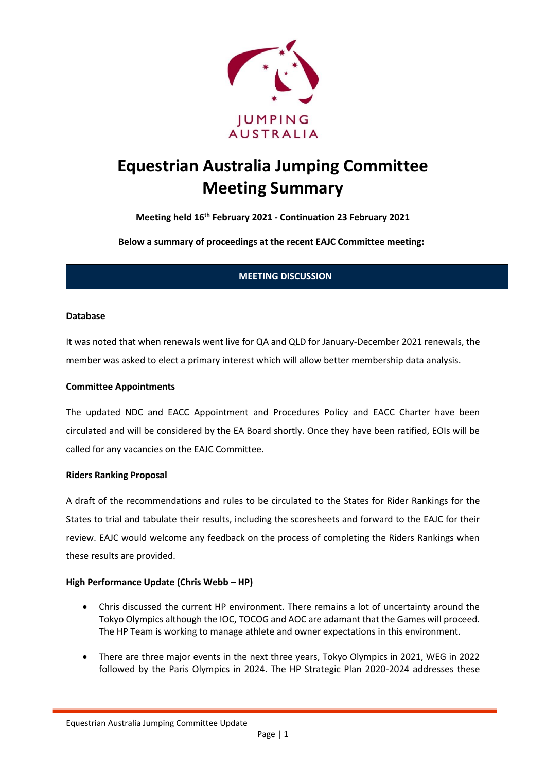

# **Equestrian Australia Jumping Committee Meeting Summary**

**Meeting held 16th February 2021 - Continuation 23 February 2021** 

**Below a summary of proceedings at the recent EAJC Committee meeting:**

# **MEETING DISCUSSION**

## **Database**

It was noted that when renewals went live for QA and QLD for January-December 2021 renewals, the member was asked to elect a primary interest which will allow better membership data analysis.

## **Committee Appointments**

The updated NDC and EACC Appointment and Procedures Policy and EACC Charter have been circulated and will be considered by the EA Board shortly. Once they have been ratified, EOIs will be called for any vacancies on the EAJC Committee.

#### **Riders Ranking Proposal**

A draft of the recommendations and rules to be circulated to the States for Rider Rankings for the States to trial and tabulate their results, including the scoresheets and forward to the EAJC for their review. EAJC would welcome any feedback on the process of completing the Riders Rankings when these results are provided.

## **High Performance Update (Chris Webb – HP)**

- Chris discussed the current HP environment. There remains a lot of uncertainty around the Tokyo Olympics although the IOC, TOCOG and AOC are adamant that the Games will proceed. The HP Team is working to manage athlete and owner expectations in this environment.
- There are three major events in the next three years, Tokyo Olympics in 2021, WEG in 2022 followed by the Paris Olympics in 2024. The HP Strategic Plan 2020-2024 addresses these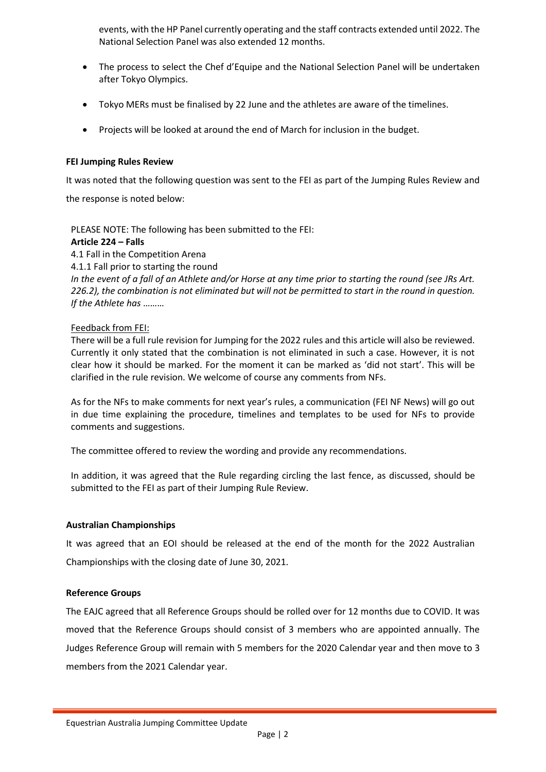events, with the HP Panel currently operating and the staff contracts extended until 2022. The National Selection Panel was also extended 12 months.

- The process to select the Chef d'Equipe and the National Selection Panel will be undertaken after Tokyo Olympics.
- Tokyo MERs must be finalised by 22 June and the athletes are aware of the timelines.
- Projects will be looked at around the end of March for inclusion in the budget.

#### **FEI Jumping Rules Review**

It was noted that the following question was sent to the FEI as part of the Jumping Rules Review and

the response is noted below:

PLEASE NOTE: The following has been submitted to the FEI:

#### **Article 224 – Falls**

4.1 Fall in the Competition Arena 4.1.1 Fall prior to starting the round *In the event of a fall of an Athlete and/or Horse at any time prior to starting the round (see JRs Art. 226.2), the combination is not eliminated but will not be permitted to start in the round in question. If the Athlete has* ………

#### Feedback from FEI:

There will be a full rule revision for Jumping for the 2022 rules and this article will also be reviewed. Currently it only stated that the combination is not eliminated in such a case. However, it is not clear how it should be marked. For the moment it can be marked as 'did not start'. This will be clarified in the rule revision. We welcome of course any comments from NFs.

As for the NFs to make comments for next year's rules, a communication (FEI NF News) will go out in due time explaining the procedure, timelines and templates to be used for NFs to provide comments and suggestions.

The committee offered to review the wording and provide any recommendations.

In addition, it was agreed that the Rule regarding circling the last fence, as discussed, should be submitted to the FEI as part of their Jumping Rule Review.

## **Australian Championships**

It was agreed that an EOI should be released at the end of the month for the 2022 Australian Championships with the closing date of June 30, 2021.

## **Reference Groups**

The EAJC agreed that all Reference Groups should be rolled over for 12 months due to COVID. It was moved that the Reference Groups should consist of 3 members who are appointed annually. The Judges Reference Group will remain with 5 members for the 2020 Calendar year and then move to 3 members from the 2021 Calendar year.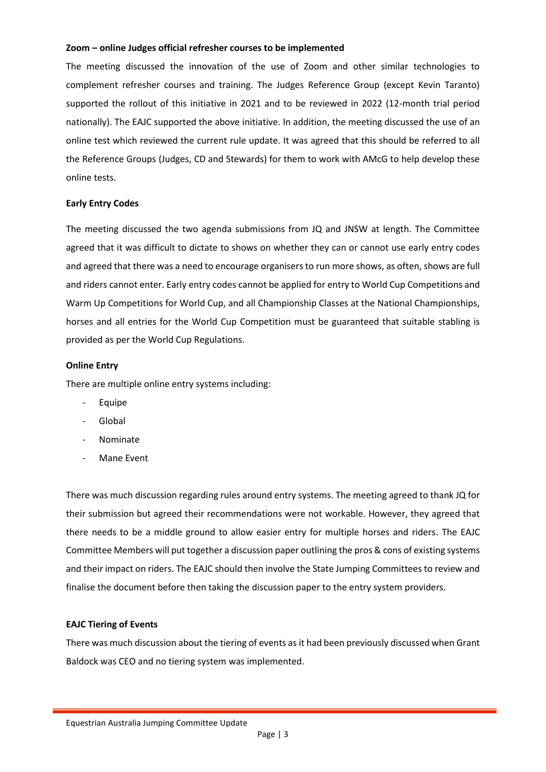#### **Zoom – online Judges official refresher courses to be implemented**

The meeting discussed the innovation of the use of Zoom and other similar technologies to complement refresher courses and training. The Judges Reference Group (except Kevin Taranto) supported the rollout of this initiative in 2021 and to be reviewed in 2022 (12-month trial period nationally). The EAJC supported the above initiative. In addition, the meeting discussed the use of an online test which reviewed the current rule update. It was agreed that this should be referred to all the Reference Groups (Judges, CD and Stewards) for them to work with AMcG to help develop these online tests.

## **Early Entry Codes**

The meeting discussed the two agenda submissions from JQ and JNSW at length. The Committee agreed that it was difficult to dictate to shows on whether they can or cannot use early entry codes and agreed that there was a need to encourage organisers to run more shows, as often, shows are full and riders cannot enter. Early entry codes cannot be applied for entry to World Cup Competitions and Warm Up Competitions for World Cup, and all Championship Classes at the National Championships, horses and all entries for the World Cup Competition must be guaranteed that suitable stabling is provided as per the World Cup Regulations.

## **Online Entry**

There are multiple online entry systems including:

- **Equipe**
- **Global**
- Nominate
- Mane Event

There was much discussion regarding rules around entry systems. The meeting agreed to thank JQ for their submission but agreed their recommendations were not workable. However, they agreed that there needs to be a middle ground to allow easier entry for multiple horses and riders. The EAJC Committee Members will put together a discussion paper outlining the pros & cons of existing systems and their impact on riders. The EAJC should then involve the State Jumping Committees to review and finalise the document before then taking the discussion paper to the entry system providers.

## **EAJC Tiering of Events**

There was much discussion about the tiering of events as it had been previously discussed when Grant Baldock was CEO and no tiering system was implemented.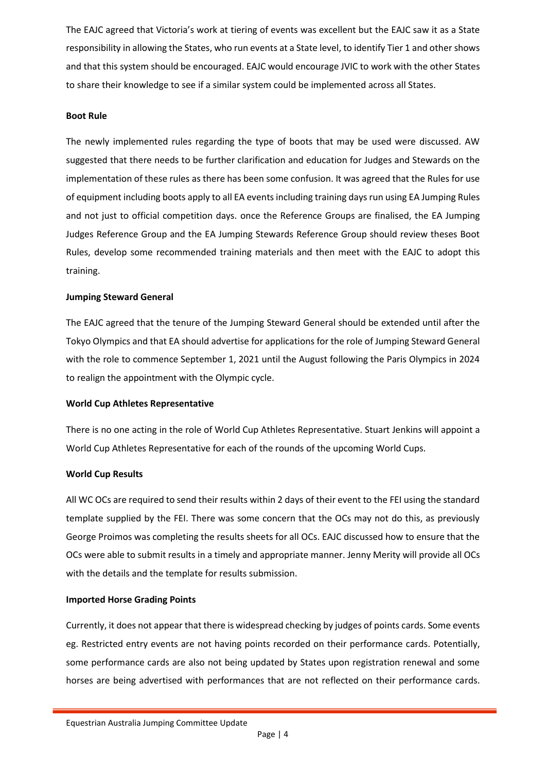The EAJC agreed that Victoria's work at tiering of events was excellent but the EAJC saw it as a State responsibility in allowing the States, who run events at a State level, to identify Tier 1 and other shows and that this system should be encouraged. EAJC would encourage JVIC to work with the other States to share their knowledge to see if a similar system could be implemented across all States.

## **Boot Rule**

The newly implemented rules regarding the type of boots that may be used were discussed. AW suggested that there needs to be further clarification and education for Judges and Stewards on the implementation of these rules as there has been some confusion. It was agreed that the Rules for use of equipment including boots apply to all EA events including training days run using EA Jumping Rules and not just to official competition days. once the Reference Groups are finalised, the EA Jumping Judges Reference Group and the EA Jumping Stewards Reference Group should review theses Boot Rules, develop some recommended training materials and then meet with the EAJC to adopt this training.

# **Jumping Steward General**

The EAJC agreed that the tenure of the Jumping Steward General should be extended until after the Tokyo Olympics and that EA should advertise for applications for the role of Jumping Steward General with the role to commence September 1, 2021 until the August following the Paris Olympics in 2024 to realign the appointment with the Olympic cycle.

# **World Cup Athletes Representative**

There is no one acting in the role of World Cup Athletes Representative. Stuart Jenkins will appoint a World Cup Athletes Representative for each of the rounds of the upcoming World Cups.

# **World Cup Results**

All WC OCs are required to send their results within 2 days of their event to the FEI using the standard template supplied by the FEI. There was some concern that the OCs may not do this, as previously George Proimos was completing the results sheets for all OCs. EAJC discussed how to ensure that the OCs were able to submit results in a timely and appropriate manner. Jenny Merity will provide all OCs with the details and the template for results submission.

# **Imported Horse Grading Points**

Currently, it does not appear that there is widespread checking by judges of points cards. Some events eg. Restricted entry events are not having points recorded on their performance cards. Potentially, some performance cards are also not being updated by States upon registration renewal and some horses are being advertised with performances that are not reflected on their performance cards.